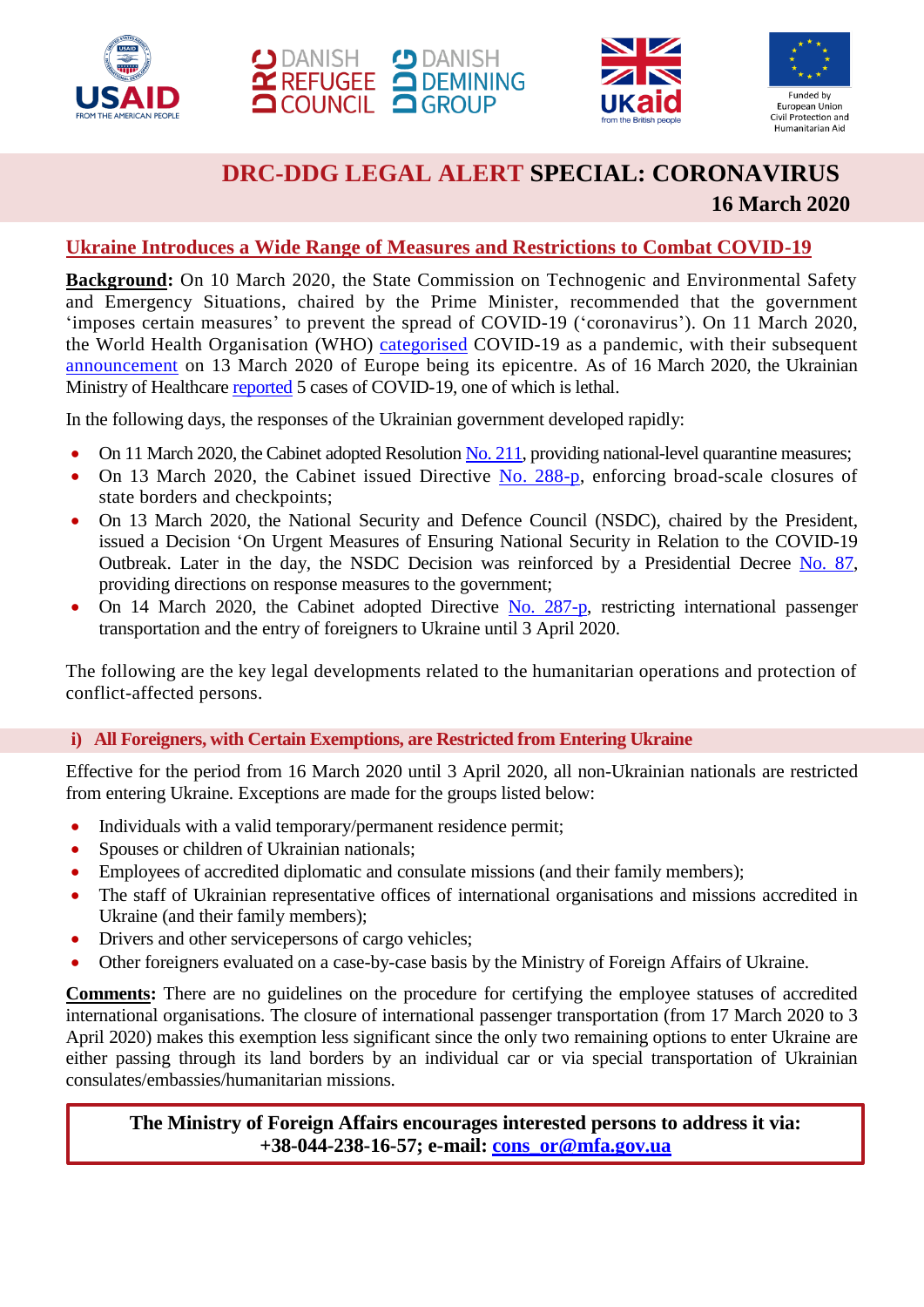







# **DRC-DDG LEGAL ALERT SPECIAL: CORONAVIRUS 16 March 2020**

# **Ukraine Introduces a Wide Range of Measures and Restrictions to Combat COVID-19**

**Background:** On 10 March 2020, the State Commission on Technogenic and Environmental Safety and Emergency Situations, chaired by the Prime Minister, recommended that the government 'imposes certain measures' to prevent the spread of COVID-19 ('coronavirus'). On 11 March 2020, the World Health Organisation (WHO) [categorised](https://www.who.int/dg/speeches/detail/who-director-general-s-opening-remarks-at-the-media-briefing-on-covid-19---11-march-2020) COVID-19 as a pandemic, with their subsequent [announcement](https://www.who.int/dg/speeches/detail/who-director-general-s-opening-remarks-at-the-mission-briefing-on-covid-19---13-march-2020) on 13 March 2020 of Europe being its epicentre. As of 16 March 2020, the Ukrainian Ministry of Healthcare [reported](https://moz.gov.ua/article/news/operativna-informacija-pro-poshirennja-koronavirusnoi-infekcii-2019-ncov-) 5 cases of COVID-19, one of which is lethal.

In the following days, the responses of the Ukrainian government developed rapidly:

- On 11 March 2020, the Cabinet adopted Resolution No. [211,](https://www.kmu.gov.ua/npas/pro-zapobigannya-poshim110320rennyu-na-teritoriyi-ukrayini-koronavirusu-covid-19) providing national-level quarantine measures;
- On 13 March 2020, the Cabinet issued Directive No. [288-p,](https://www.kmu.gov.ua/npas/pro-timchasove-zakrittya-deyakih-punktiv-propusku-cherez-derzhavnij-kordon-ta-punktiv-kontrolyu-i-pripinennya-v-nih-pishohidnogo-spoluchennya-288130320) enforcing broad-scale closures of state borders and checkpoints;
- On 13 March 2020, the National Security and Defence Council (NSDC), chaired by the President, issued a Decision 'On Urgent Measures of Ensuring National Security in Relation to the COVID-19 Outbreak. Later in the day, the NSDC Decision was reinforced by a Presidential Decree [No. 87,](https://www.president.gov.ua/documents/872020-32741?fbclid=IwAR3ZLXo-qkcSYXGaGz9YpGAAaWtMgXdlsLKvrbxoO-Lf0pUHopOnve2EK1I) providing directions on response measures to the government;
- On 14 March 2020, the Cabinet adopted Directive No. [287-p,](https://www.kmu.gov.ua/npas/pro-timchasove-obmezhennya-peretinannya-derzhavnogo-kordonu-spryamovane-na-zapobigannya-poshirennyu-na-teritoriyi-ukrayini-gostroyi-respiratornoyi-hvorobi-covid-19-287140320) restricting international passenger transportation and the entry of foreigners to Ukraine until 3 April 2020.

The following are the key legal developments related to the humanitarian operations and protection of conflict-affected persons.

#### **i) All Foreigners, with Certain Exemptions, are Restricted from Entering Ukraine**

Effective for the period from 16 March 2020 until 3 April 2020, all non-Ukrainian nationals are restricted from entering Ukraine. Exceptions are made for the groups listed below:

- Individuals with a valid temporary/permanent residence permit;
- Spouses or children of Ukrainian nationals;
- Employees of accredited diplomatic and consulate missions (and their family members);
- The staff of Ukrainian representative offices of international organisations and missions accredited in Ukraine (and their family members);
- Drivers and other servicepersons of cargo vehicles;
- Other foreigners evaluated on a case-by-case basis by the Ministry of Foreign Affairs of Ukraine.

**Comments:** There are no guidelines on the procedure for certifying the employee statuses of accredited international organisations. The closure of international passenger transportation (from 17 March 2020 to 3 April 2020) makes this exemption less significant since the only two remaining options to enter Ukraine are either passing through its land borders by an individual car or via special transportation of Ukrainian consulates/embassies/humanitarian missions.

**The Ministry of Foreign Affairs encourages interested persons to address it via: +38-044-238-16-57; e-mail: [cons\\_or@mfa.gov.ua](mailto:cons_or@mfa.gov.ua)**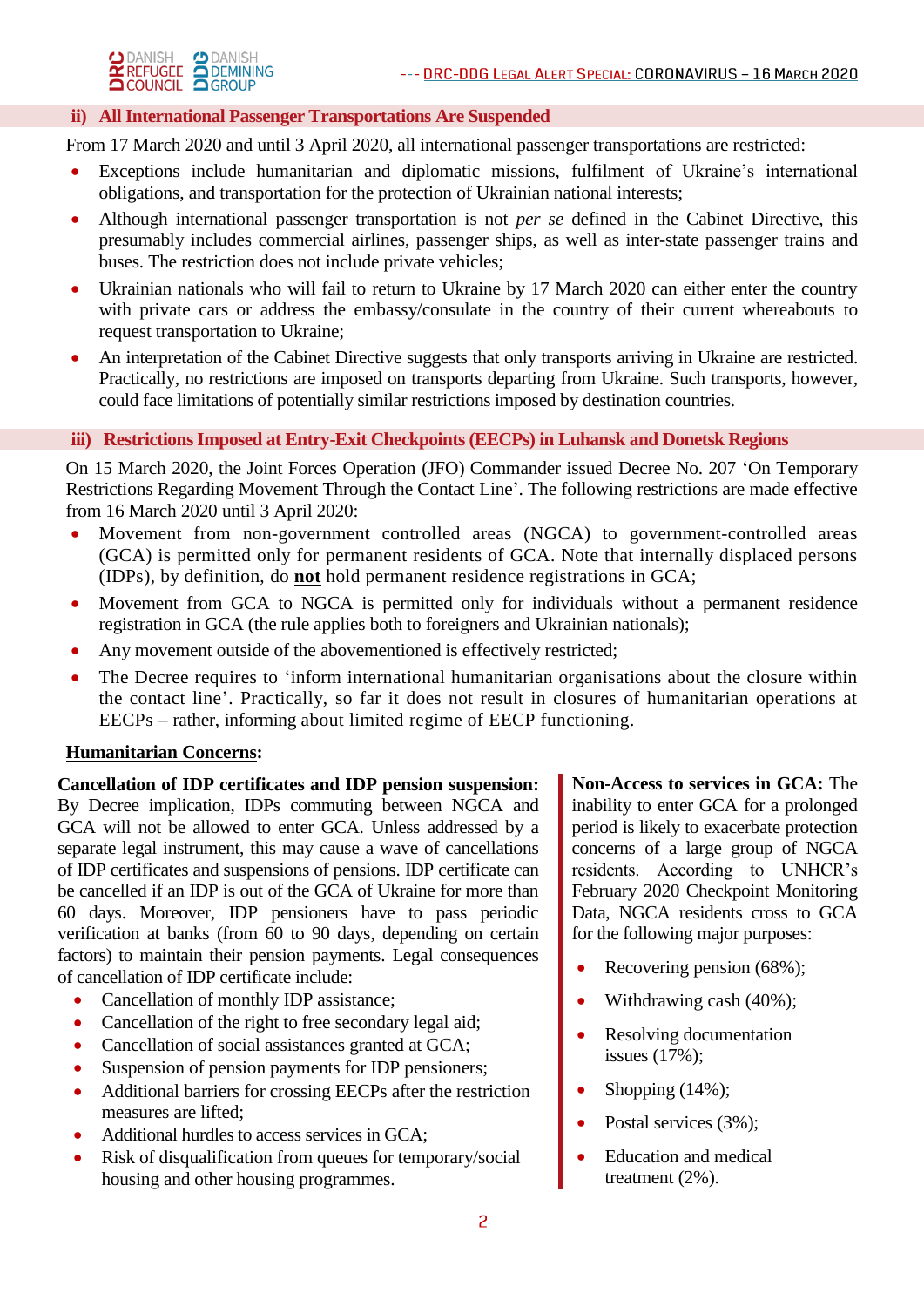

# **ii) All International Passenger Transportations Are Suspended**

From 17 March 2020 and until 3 April 2020, all international passenger transportations are restricted:

- Exceptions include humanitarian and diplomatic missions, fulfilment of Ukraine's international obligations, and transportation for the protection of Ukrainian national interests;
- Although international passenger transportation is not *per se* defined in the Cabinet Directive, this presumably includes commercial airlines, passenger ships, as well as inter-state passenger trains and buses. The restriction does not include private vehicles;
- Ukrainian nationals who will fail to return to Ukraine by 17 March 2020 can either enter the country with private cars or address the embassy/consulate in the country of their current whereabouts to request transportation to Ukraine;
- An interpretation of the Cabinet Directive suggests that only transports arriving in Ukraine are restricted. Practically, no restrictions are imposed on transports departing from Ukraine. Such transports, however, could face limitations of potentially similar restrictions imposed by destination countries.

# **iii) Restrictions Imposed at Entry-Exit Checkpoints (EECPs) in Luhansk and Donetsk Regions**

On 15 March 2020, the Joint Forces Operation (JFO) Commander issued Decree No. 207 'On Temporary Restrictions Regarding Movement Through the Contact Line'. The following restrictions are made effective from 16 March 2020 until 3 April 2020:

- Movement from non-government controlled areas (NGCA) to government-controlled areas (GCA) is permitted only for permanent residents of GCA. Note that internally displaced persons (IDPs), by definition, do **not** hold permanent residence registrations in GCA;
- Movement from GCA to NGCA is permitted only for individuals without a permanent residence registration in GCA (the rule applies both to foreigners and Ukrainian nationals);
- Any movement outside of the abovementioned is effectively restricted;
- The Decree requires to 'inform international humanitarian organisations about the closure within the contact line'. Practically, so far it does not result in closures of humanitarian operations at EECPs – rather, informing about limited regime of EECP functioning.

#### **Humanitarian Concerns:**

**Cancellation of IDP certificates and IDP pension suspension:** By Decree implication, IDPs commuting between NGCA and GCA will not be allowed to enter GCA. Unless addressed by a separate legal instrument, this may cause a wave of cancellations of IDP certificates and suspensions of pensions. IDP certificate can be cancelled if an IDP is out of the GCA of Ukraine for more than 60 days. Moreover, IDP pensioners have to pass periodic verification at banks (from 60 to 90 days, depending on certain factors) to maintain their pension payments. Legal consequences of cancellation of IDP certificate include:

- Cancellation of monthly IDP assistance;
- Cancellation of the right to free secondary legal aid;
- Cancellation of social assistances granted at GCA;
- Suspension of pension payments for IDP pensioners;
- Additional barriers for crossing EECPs after the restriction measures are lifted;
- Additional hurdles to access services in GCA;
- Risk of disqualification from queues for temporary/social housing and other housing programmes.

**Non-Access to services in GCA:** The inability to enter GCA for a prolonged period is likely to exacerbate protection concerns of a large group of NGCA residents. According to UNHCR's February 2020 Checkpoint Monitoring Data, NGCA residents cross to GCA for the following major purposes:

- Recovering pension (68%);
- Withdrawing cash (40%);
- Resolving documentation issues (17%);
- Shopping (14%);
- Postal services (3%);
- Education and medical treatment (2%).